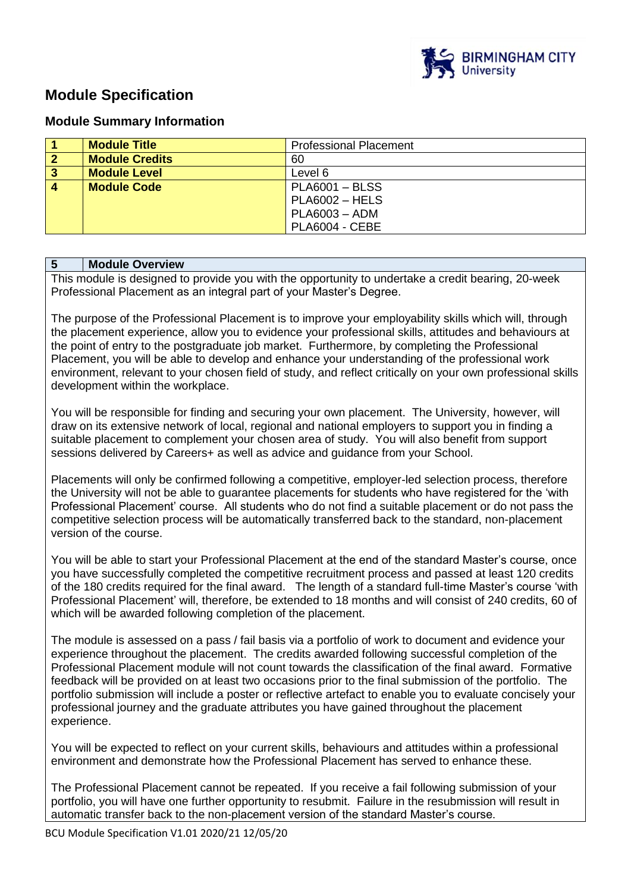

## **Module Specification**

## **Module Summary Information**

|                         | <b>Module Title</b>   | <b>Professional Placement</b> |
|-------------------------|-----------------------|-------------------------------|
| $\overline{2}$          | <b>Module Credits</b> | 60                            |
| $\overline{\mathbf{3}}$ | <b>Module Level</b>   | Level 6                       |
| $\overline{4}$          | <b>Module Code</b>    | $PLA6001 - BLSS$              |
|                         |                       | $PLA6002 - HELS$              |
|                         |                       | $PLA6003 - ADM$               |
|                         |                       | PLA6004 - CEBE                |

## **5 Module Overview**

This module is designed to provide you with the opportunity to undertake a credit bearing, 20-week Professional Placement as an integral part of your Master's Degree.

The purpose of the Professional Placement is to improve your employability skills which will, through the placement experience, allow you to evidence your professional skills, attitudes and behaviours at the point of entry to the postgraduate job market. Furthermore, by completing the Professional Placement, you will be able to develop and enhance your understanding of the professional work environment, relevant to your chosen field of study, and reflect critically on your own professional skills development within the workplace.

You will be responsible for finding and securing your own placement. The University, however, will draw on its extensive network of local, regional and national employers to support you in finding a suitable placement to complement your chosen area of study. You will also benefit from support sessions delivered by Careers+ as well as advice and guidance from your School.

Placements will only be confirmed following a competitive, employer-led selection process, therefore the University will not be able to guarantee placements for students who have registered for the 'with Professional Placement' course. All students who do not find a suitable placement or do not pass the competitive selection process will be automatically transferred back to the standard, non-placement version of the course.

You will be able to start your Professional Placement at the end of the standard Master's course, once you have successfully completed the competitive recruitment process and passed at least 120 credits of the 180 credits required for the final award. The length of a standard full-time Master's course 'with Professional Placement' will, therefore, be extended to 18 months and will consist of 240 credits, 60 of which will be awarded following completion of the placement.

The module is assessed on a pass / fail basis via a portfolio of work to document and evidence your experience throughout the placement. The credits awarded following successful completion of the Professional Placement module will not count towards the classification of the final award. Formative feedback will be provided on at least two occasions prior to the final submission of the portfolio. The portfolio submission will include a poster or reflective artefact to enable you to evaluate concisely your professional journey and the graduate attributes you have gained throughout the placement experience.

You will be expected to reflect on your current skills, behaviours and attitudes within a professional environment and demonstrate how the Professional Placement has served to enhance these.

The Professional Placement cannot be repeated. If you receive a fail following submission of your portfolio, you will have one further opportunity to resubmit. Failure in the resubmission will result in automatic transfer back to the non-placement version of the standard Master's course.